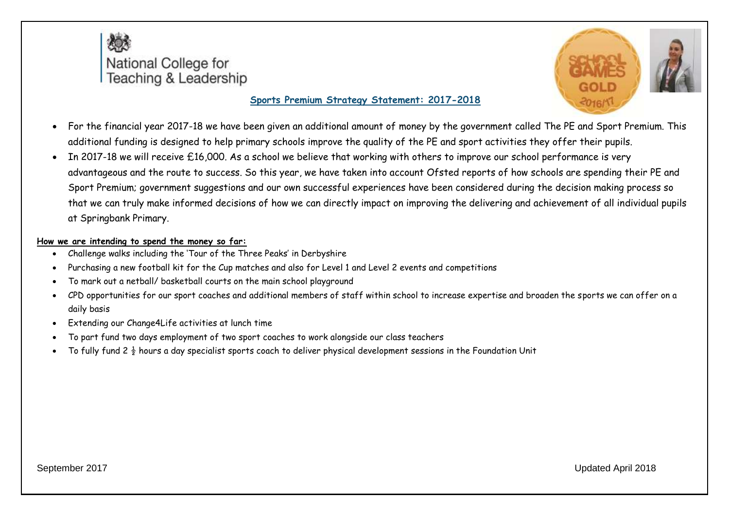



- For the financial year 2017-18 we have been given an additional amount of money by the government called The PE and Sport Premium. This additional funding is designed to help primary schools improve the quality of the PE and sport activities they offer their pupils.
- In 2017-18 we will receive £16,000. As a school we believe that working with others to improve our school performance is very advantageous and the route to success. So this year, we have taken into account Ofsted reports of how schools are spending their PE and Sport Premium; government suggestions and our own successful experiences have been considered during the decision making process so that we can truly make informed decisions of how we can directly impact on improving the delivering and achievement of all individual pupils at Springbank Primary.

#### **How we are intending to spend the money so far:**

- Challenge walks including the 'Tour of the Three Peaks' in Derbyshire
- Purchasing a new football kit for the Cup matches and also for Level 1 and Level 2 events and competitions
- To mark out a netball/ basketball courts on the main school playground
- CPD opportunities for our sport coaches and additional members of staff within school to increase expertise and broaden the sports we can offer on a daily basis
- Extending our Change4Life activities at lunch time
- To part fund two days employment of two sport coaches to work alongside our class teachers
- To fully fund 2  $\frac{1}{2}$  hours a day specialist sports coach to deliver physical development sessions in the Foundation Unit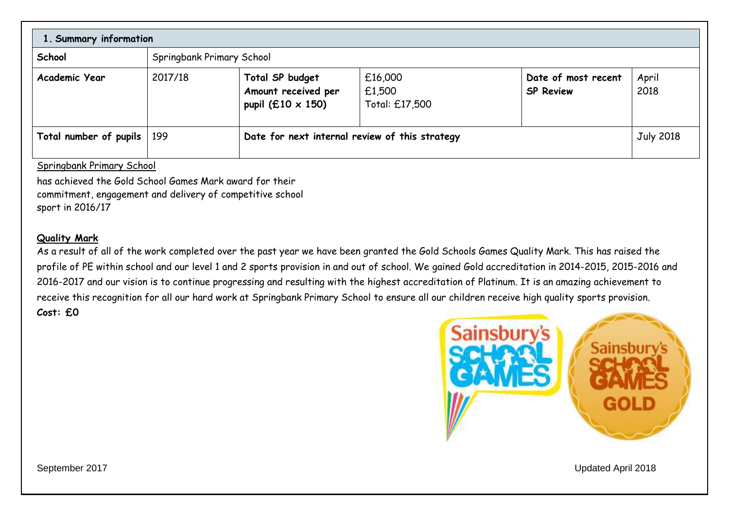| 1. Summary information |                           |                                                                    |                                                |                                         |                  |
|------------------------|---------------------------|--------------------------------------------------------------------|------------------------------------------------|-----------------------------------------|------------------|
| School                 | Springbank Primary School |                                                                    |                                                |                                         |                  |
| Academic Year          | 2017/18                   | Total SP budget<br>Amount received per<br>pupil (£10 $\times$ 150) | £16,000<br>£1,500<br>Total: £17,500            | Date of most recent<br><b>SP Review</b> | April<br>2018    |
| Total number of pupils | 199                       |                                                                    | Date for next internal review of this strategy |                                         | <b>July 2018</b> |

#### Springbank Primary School

has achieved the Gold School Games Mark award for their commitment, engagement and delivery of competitive school sport in 2016/17

#### **Quality Mark**

As a result of all of the work completed over the past year we have been granted the Gold Schools Games Quality Mark. This has raised the profile of PE within school and our level 1 and 2 sports provision in and out of school. We gained Gold accreditation in 2014-2015, 2015-2016 and 2016-2017 and our vision is to continue progressing and resulting with the highest accreditation of Platinum. It is an amazing achievement to receive this recognition for all our hard work at Springbank Primary School to ensure all our children receive high quality sports provision. **Cost: £0**

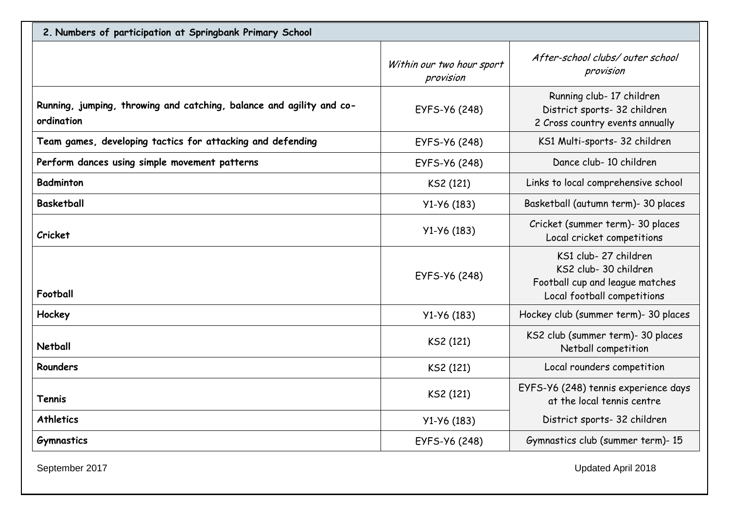| 2. Numbers of participation at Springbank Primary School                           |                                        |                                                                                                                 |
|------------------------------------------------------------------------------------|----------------------------------------|-----------------------------------------------------------------------------------------------------------------|
|                                                                                    | Within our two hour sport<br>provision | After-school clubs/outer school<br>provision                                                                    |
| Running, jumping, throwing and catching, balance and agility and co-<br>ordination | EYFS-Y6 (248)                          | Running club- 17 children<br>District sports- 32 children<br>2 Cross country events annually                    |
| Team games, developing tactics for attacking and defending                         | EYFS-Y6 (248)                          | KS1 Multi-sports- 32 children                                                                                   |
| Perform dances using simple movement patterns                                      | EYFS-Y6 (248)                          | Dance club- 10 children                                                                                         |
| <b>Badminton</b>                                                                   | KS2 (121)                              | Links to local comprehensive school                                                                             |
| <b>Basketball</b>                                                                  | $Y1-Y6(183)$                           | Basketball (autumn term)- 30 places                                                                             |
| <b>Cricket</b>                                                                     | $Y1-Y6(183)$                           | Cricket (summer term)- 30 places<br>Local cricket competitions                                                  |
| Football                                                                           | EYFS-Y6 (248)                          | KS1 club-27 children<br>KS2 club- 30 children<br>Football cup and league matches<br>Local football competitions |
| Hockey                                                                             | $Y1-Y6(183)$                           | Hockey club (summer term)- 30 places                                                                            |
| <b>Netball</b>                                                                     | KS2 (121)                              | KS2 club (summer term)- 30 places<br>Netball competition                                                        |
| <b>Rounders</b>                                                                    | KS2 (121)                              | Local rounders competition                                                                                      |
| Tennis                                                                             | KS2 (121)                              | EYFS-Y6 (248) tennis experience days<br>at the local tennis centre                                              |
| <b>Athletics</b>                                                                   | $Y1-Y6(183)$                           | District sports- 32 children                                                                                    |
| <b>Gymnastics</b>                                                                  | EYFS-Y6 (248)                          | Gymnastics club (summer term)- 15                                                                               |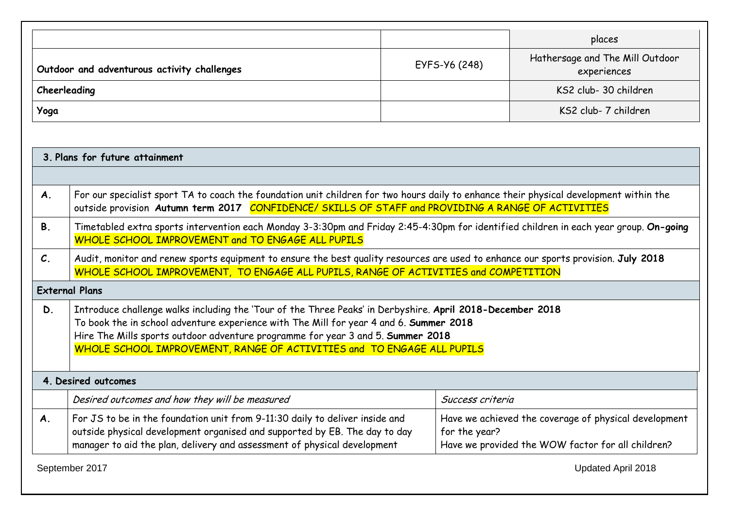|                |                                                                                                                                                                                                                                                                                                                                                                  |                  | places                                                                                                     |
|----------------|------------------------------------------------------------------------------------------------------------------------------------------------------------------------------------------------------------------------------------------------------------------------------------------------------------------------------------------------------------------|------------------|------------------------------------------------------------------------------------------------------------|
|                | Outdoor and adventurous activity challenges                                                                                                                                                                                                                                                                                                                      | EYFS-Y6 (248)    | Hathersage and The Mill Outdoor<br>experiences                                                             |
|                | Cheerleading                                                                                                                                                                                                                                                                                                                                                     |                  | KS2 club- 30 children                                                                                      |
| Yoga           |                                                                                                                                                                                                                                                                                                                                                                  |                  | KS2 club- 7 children                                                                                       |
|                |                                                                                                                                                                                                                                                                                                                                                                  |                  |                                                                                                            |
|                | 3. Plans for future attainment                                                                                                                                                                                                                                                                                                                                   |                  |                                                                                                            |
|                |                                                                                                                                                                                                                                                                                                                                                                  |                  |                                                                                                            |
| <b>A.</b>      | For our specialist sport TA to coach the foundation unit children for two hours daily to enhance their physical development within the<br>outside provision Autumn term 2017 CONFIDENCE/ SKILLS OF STAFF and PROVIDING A RANGE OF ACTIVITIES                                                                                                                     |                  |                                                                                                            |
| <b>B.</b>      | Timetabled extra sports intervention each Monday 3-3:30pm and Friday 2:45-4:30pm for identified children in each year group. On-going<br>WHOLE SCHOOL IMPROVEMENT and TO ENGAGE ALL PUPILS                                                                                                                                                                       |                  |                                                                                                            |
| $\mathcal{C}.$ | Audit, monitor and renew sports equipment to ensure the best quality resources are used to enhance our sports provision. July 2018<br>WHOLE SCHOOL IMPROVEMENT, TO ENGAGE ALL PUPILS, RANGE OF ACTIVITIES and COMPETITION                                                                                                                                        |                  |                                                                                                            |
|                | <b>External Plans</b>                                                                                                                                                                                                                                                                                                                                            |                  |                                                                                                            |
| D.             | Introduce challenge walks including the 'Tour of the Three Peaks' in Derbyshire. April 2018-December 2018<br>To book the in school adventure experience with The Mill for year 4 and 6. Summer 2018<br>Hire The Mills sports outdoor adventure programme for year 3 and 5. Summer 2018<br>WHOLE SCHOOL IMPROVEMENT, RANGE OF ACTIVITIES and TO ENGAGE ALL PUPILS |                  |                                                                                                            |
|                | 4. Desired outcomes                                                                                                                                                                                                                                                                                                                                              |                  |                                                                                                            |
|                | Desired outcomes and how they will be measured                                                                                                                                                                                                                                                                                                                   | Success criteria |                                                                                                            |
| <b>A.</b>      | For JS to be in the foundation unit from 9-11:30 daily to deliver inside and<br>outside physical development organised and supported by EB. The day to day<br>manager to aid the plan, delivery and assessment of physical development                                                                                                                           | for the year?    | Have we achieved the coverage of physical development<br>Have we provided the WOW factor for all children? |
|                | September 2017                                                                                                                                                                                                                                                                                                                                                   |                  | Updated April 2018                                                                                         |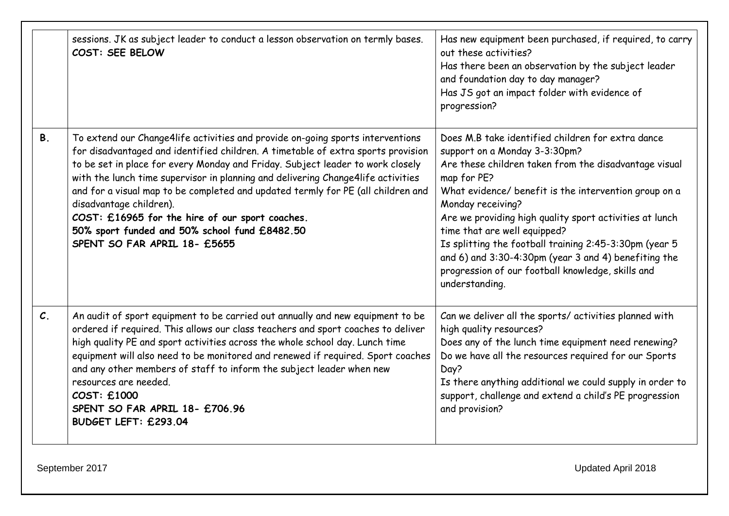|                 | sessions. JK as subject leader to conduct a lesson observation on termly bases.<br>COST: SEE BELOW                                                                                                                                                                                                                                                                                                                                                                                                                                                                                          | Has new equipment been purchased, if required, to carry<br>out these activities?<br>Has there been an observation by the subject leader<br>and foundation day to day manager?<br>Has JS got an impact folder with evidence of<br>progression?                                                                                                                                                                                                                                                                                |
|-----------------|---------------------------------------------------------------------------------------------------------------------------------------------------------------------------------------------------------------------------------------------------------------------------------------------------------------------------------------------------------------------------------------------------------------------------------------------------------------------------------------------------------------------------------------------------------------------------------------------|------------------------------------------------------------------------------------------------------------------------------------------------------------------------------------------------------------------------------------------------------------------------------------------------------------------------------------------------------------------------------------------------------------------------------------------------------------------------------------------------------------------------------|
| <b>B.</b>       | To extend our Change4life activities and provide on-going sports interventions<br>for disadvantaged and identified children. A timetable of extra sports provision<br>to be set in place for every Monday and Friday. Subject leader to work closely<br>with the lunch time supervisor in planning and delivering Change4life activities<br>and for a visual map to be completed and updated termly for PE (all children and<br>disadvantage children).<br>COST: £16965 for the hire of our sport coaches.<br>50% sport funded and 50% school fund £8482.50<br>SPENT SO FAR APRIL 18- £5655 | Does M.B take identified children for extra dance<br>support on a Monday 3-3:30pm?<br>Are these children taken from the disadvantage visual<br>map for PE?<br>What evidence/ benefit is the intervention group on a<br>Monday receiving?<br>Are we providing high quality sport activities at lunch<br>time that are well equipped?<br>Is splitting the football training 2:45-3:30pm (year 5<br>and 6) and 3:30-4:30pm (year 3 and 4) benefiting the<br>progression of our football knowledge, skills and<br>understanding. |
| $\mathcal{C}$ . | An audit of sport equipment to be carried out annually and new equipment to be<br>ordered if required. This allows our class teachers and sport coaches to deliver<br>high quality PE and sport activities across the whole school day. Lunch time<br>equipment will also need to be monitored and renewed if required. Sport coaches<br>and any other members of staff to inform the subject leader when new<br>resources are needed.<br>COST: £1000<br>SPENT SO FAR APRIL 18- £706.96<br>BUDGET LEFT: £293.04                                                                             | Can we deliver all the sports/ activities planned with<br>high quality resources?<br>Does any of the lunch time equipment need renewing?<br>Do we have all the resources required for our Sports<br>Day?<br>Is there anything additional we could supply in order to<br>support, challenge and extend a child's PE progression<br>and provision?                                                                                                                                                                             |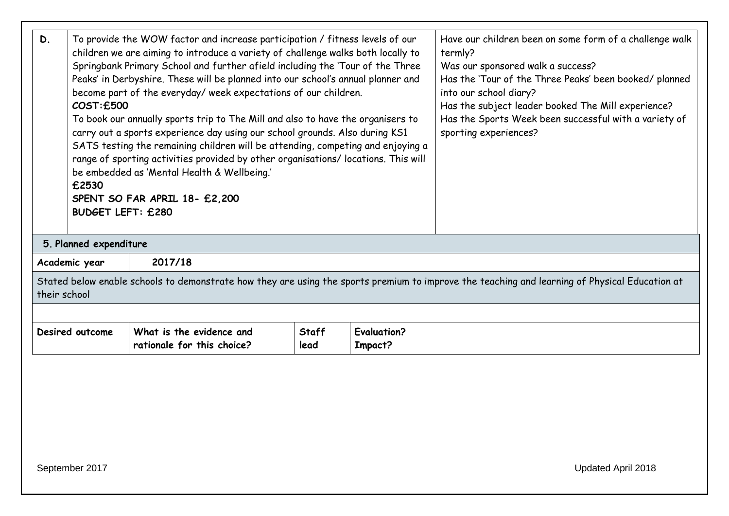| D.                                                                                                                                                             | To provide the WOW factor and increase participation / fitness levels of our<br>children we are aiming to introduce a variety of challenge walks both locally to<br>Springbank Primary School and further afield including the 'Tour of the Three<br>Peaks' in Derbyshire. These will be planned into our school's annual planner and<br>become part of the everyday/ week expectations of our children.<br>COST:£500<br>To book our annually sports trip to The Mill and also to have the organisers to<br>carry out a sports experience day using our school grounds. Also during KS1<br>SATS testing the remaining children will be attending, competing and enjoying a<br>range of sporting activities provided by other organisations/ locations. This will<br>be embedded as 'Mental Health & Wellbeing.'<br>£2530<br>SPENT SO FAR APRIL 18- £2,200<br><b>BUDGET LEFT: £280</b> |  | Have our children been on some form of a challenge walk<br>termly?<br>Was our sponsored walk a success?<br>Has the 'Tour of the Three Peaks' been booked/ planned<br>into our school diary?<br>Has the subject leader booked The Mill experience?<br>Has the Sports Week been successful with a variety of<br>sporting experiences? |  |  |  |
|----------------------------------------------------------------------------------------------------------------------------------------------------------------|---------------------------------------------------------------------------------------------------------------------------------------------------------------------------------------------------------------------------------------------------------------------------------------------------------------------------------------------------------------------------------------------------------------------------------------------------------------------------------------------------------------------------------------------------------------------------------------------------------------------------------------------------------------------------------------------------------------------------------------------------------------------------------------------------------------------------------------------------------------------------------------|--|-------------------------------------------------------------------------------------------------------------------------------------------------------------------------------------------------------------------------------------------------------------------------------------------------------------------------------------|--|--|--|
|                                                                                                                                                                | 5. Planned expenditure                                                                                                                                                                                                                                                                                                                                                                                                                                                                                                                                                                                                                                                                                                                                                                                                                                                                |  |                                                                                                                                                                                                                                                                                                                                     |  |  |  |
| 2017/18<br>Academic year                                                                                                                                       |                                                                                                                                                                                                                                                                                                                                                                                                                                                                                                                                                                                                                                                                                                                                                                                                                                                                                       |  |                                                                                                                                                                                                                                                                                                                                     |  |  |  |
| Stated below enable schools to demonstrate how they are using the sports premium to improve the teaching and learning of Physical Education at<br>their school |                                                                                                                                                                                                                                                                                                                                                                                                                                                                                                                                                                                                                                                                                                                                                                                                                                                                                       |  |                                                                                                                                                                                                                                                                                                                                     |  |  |  |
|                                                                                                                                                                |                                                                                                                                                                                                                                                                                                                                                                                                                                                                                                                                                                                                                                                                                                                                                                                                                                                                                       |  |                                                                                                                                                                                                                                                                                                                                     |  |  |  |
| <b>Evaluation?</b><br>What is the evidence and<br>Staff<br>Desired outcome<br>rationale for this choice?<br>Impact?<br>lead                                    |                                                                                                                                                                                                                                                                                                                                                                                                                                                                                                                                                                                                                                                                                                                                                                                                                                                                                       |  |                                                                                                                                                                                                                                                                                                                                     |  |  |  |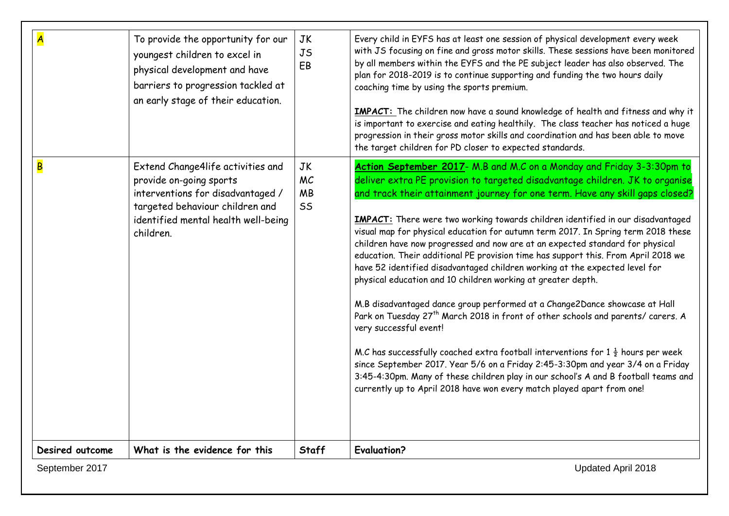|                         | To provide the opportunity for our<br>youngest children to excel in<br>physical development and have<br>barriers to progression tackled at<br>an early stage of their education.         | <b>JK</b><br>JS<br>EB              | Every child in EYFS has at least one session of physical development every week<br>with JS focusing on fine and gross motor skills. These sessions have been monitored<br>by all members within the EYFS and the PE subject leader has also observed. The<br>plan for 2018-2019 is to continue supporting and funding the two hours daily<br>coaching time by using the sports premium.<br><b>IMPACT:</b> The children now have a sound knowledge of health and fitness and why it<br>is important to exercise and eating healthily. The class teacher has noticed a huge<br>progression in their gross motor skills and coordination and has been able to move<br>the target children for PD closer to expected standards.                                                                                                                                                                                                                                                                                                                                                                                                                                                                                                                                                                            |
|-------------------------|------------------------------------------------------------------------------------------------------------------------------------------------------------------------------------------|------------------------------------|--------------------------------------------------------------------------------------------------------------------------------------------------------------------------------------------------------------------------------------------------------------------------------------------------------------------------------------------------------------------------------------------------------------------------------------------------------------------------------------------------------------------------------------------------------------------------------------------------------------------------------------------------------------------------------------------------------------------------------------------------------------------------------------------------------------------------------------------------------------------------------------------------------------------------------------------------------------------------------------------------------------------------------------------------------------------------------------------------------------------------------------------------------------------------------------------------------------------------------------------------------------------------------------------------------|
| $\overline{\mathsf{B}}$ | Extend Change4life activities and<br>provide on-going sports<br>interventions for disadvantaged /<br>targeted behaviour children and<br>identified mental health well-being<br>children. | <b>JK</b><br>MC<br><b>MB</b><br>SS | Action September 2017- M.B and M.C on a Monday and Friday 3-3:30pm to<br>deliver extra PE provision to targeted disadvantage children. JK to organise<br>and track their attainment journey for one term. Have any skill gaps closed?<br><b>IMPACT:</b> There were two working towards children identified in our disadvantaged<br>visual map for physical education for autumn term 2017. In Spring term 2018 these<br>children have now progressed and now are at an expected standard for physical<br>education. Their additional PE provision time has support this. From April 2018 we<br>have 52 identified disadvantaged children working at the expected level for<br>physical education and 10 children working at greater depth.<br>M.B disadvantaged dance group performed at a Change2Dance showcase at Hall<br>Park on Tuesday 27 <sup>th</sup> March 2018 in front of other schools and parents/ carers. A<br>very successful event!<br>M.C has successfully coached extra football interventions for 1 $\frac{1}{2}$ hours per week<br>since September 2017. Year 5/6 on a Friday 2:45-3:30pm and year 3/4 on a Friday<br>3:45-4:30pm. Many of these children play in our school's A and B football teams and<br>currently up to April 2018 have won every match played apart from one! |
| Desired outcome         | What is the evidence for this                                                                                                                                                            | <b>Staff</b>                       | <b>Evaluation?</b>                                                                                                                                                                                                                                                                                                                                                                                                                                                                                                                                                                                                                                                                                                                                                                                                                                                                                                                                                                                                                                                                                                                                                                                                                                                                                     |
| September 2017          |                                                                                                                                                                                          |                                    | Updated April 2018                                                                                                                                                                                                                                                                                                                                                                                                                                                                                                                                                                                                                                                                                                                                                                                                                                                                                                                                                                                                                                                                                                                                                                                                                                                                                     |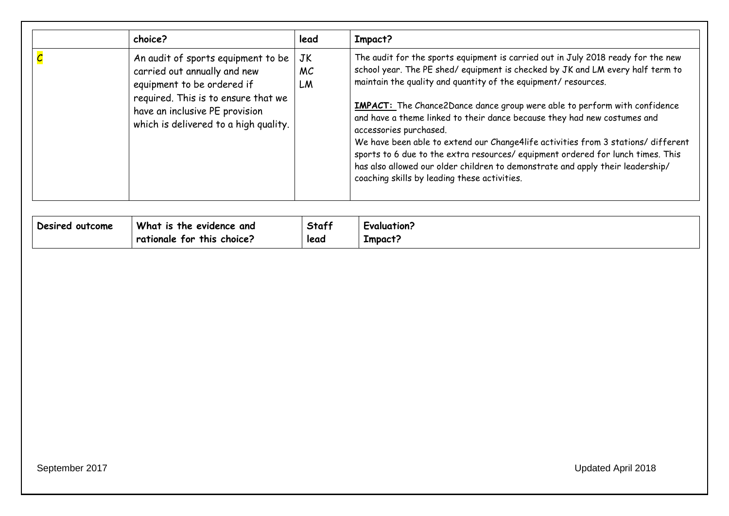| choice?                                                                                                                                                                                                            | lead           | Impact?                                                                                                                                                                                                                                                                                                                                                                                                                                                                                                                                                                                                                                                                                                                                 |
|--------------------------------------------------------------------------------------------------------------------------------------------------------------------------------------------------------------------|----------------|-----------------------------------------------------------------------------------------------------------------------------------------------------------------------------------------------------------------------------------------------------------------------------------------------------------------------------------------------------------------------------------------------------------------------------------------------------------------------------------------------------------------------------------------------------------------------------------------------------------------------------------------------------------------------------------------------------------------------------------------|
| An audit of sports equipment to be<br>carried out annually and new<br>equipment to be ordered if<br>required. This is to ensure that we<br>have an inclusive PE provision<br>which is delivered to a high quality. | JK<br>MC<br>LM | The audit for the sports equipment is carried out in July 2018 ready for the new<br>school year. The PE shed/equipment is checked by JK and LM every half term to<br>maintain the quality and quantity of the equipment/ resources.<br><b>IMPACT:</b> The Chance2Dance dance group were able to perform with confidence<br>and have a theme linked to their dance because they had new costumes and<br>accessories purchased.<br>We have been able to extend our Change4life activities from 3 stations/ different<br>sports to 6 due to the extra resources/ equipment ordered for lunch times. This<br>has also allowed our older children to demonstrate and apply their leadership/<br>coaching skills by leading these activities. |

| Desired outcome | What is the evidence and           | Staff | Evaluation? |
|-----------------|------------------------------------|-------|-------------|
|                 | $\vert$ rationale for this choice? | lead  | Impact:     |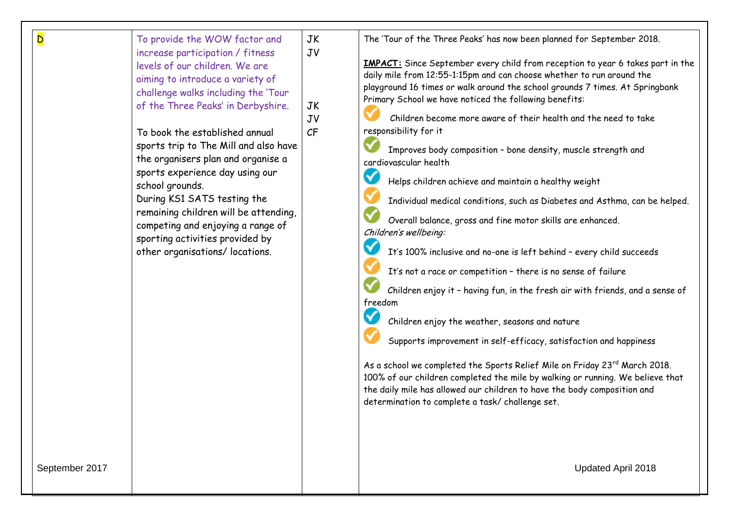| D<br>September 2017 | To provide the WOW factor and<br>increase participation / fitness<br>levels of our children. We are<br>aiming to introduce a variety of<br>challenge walks including the 'Tour<br>of the Three Peaks' in Derbyshire.<br>To book the established annual<br>sports trip to The Mill and also have<br>the organisers plan and organise a<br>sports experience day using our<br>school grounds.<br>During KS1 SATS testing the<br>remaining children will be attending,<br>competing and enjoying a range of<br>sporting activities provided by<br>other organisations/ locations. | JK<br>JV<br>JK<br>JV<br>CF | The 'Tour of the Three Peaks' has now been planned for September 2018.<br><b>IMPACT:</b> Since September every child from reception to year 6 takes part in the<br>daily mile from 12:55-1:15pm and can choose whether to run around the<br>playground 16 times or walk around the school grounds 7 times. At Springbank<br>Primary School we have noticed the following benefits:<br>Children become more aware of their health and the need to take<br>responsibility for it<br>Improves body composition - bone density, muscle strength and<br>cardiovascular health<br>✓<br>Helps children achieve and maintain a healthy weight<br>Individual medical conditions, such as Diabetes and Asthma, can be helped.<br>Overall balance, gross and fine motor skills are enhanced.<br>Children's wellbeing:<br>$\blacktriangledown$<br>It's 100% inclusive and no-one is left behind - every child succeeds<br>It's not a race or competition - there is no sense of failure<br>Children enjoy it - having fun, in the fresh air with friends, and a sense of<br>freedom<br>✓<br>Children enjoy the weather, seasons and nature<br>Supports improvement in self-efficacy, satisfaction and happiness<br>As a school we completed the Sports Relief Mile on Friday 23rd March 2018.<br>100% of our children completed the mile by walking or running. We believe that<br>the daily mile has allowed our children to have the body composition and<br>determination to complete a task/ challenge set.<br>Updated April 2018 |
|---------------------|--------------------------------------------------------------------------------------------------------------------------------------------------------------------------------------------------------------------------------------------------------------------------------------------------------------------------------------------------------------------------------------------------------------------------------------------------------------------------------------------------------------------------------------------------------------------------------|----------------------------|---------------------------------------------------------------------------------------------------------------------------------------------------------------------------------------------------------------------------------------------------------------------------------------------------------------------------------------------------------------------------------------------------------------------------------------------------------------------------------------------------------------------------------------------------------------------------------------------------------------------------------------------------------------------------------------------------------------------------------------------------------------------------------------------------------------------------------------------------------------------------------------------------------------------------------------------------------------------------------------------------------------------------------------------------------------------------------------------------------------------------------------------------------------------------------------------------------------------------------------------------------------------------------------------------------------------------------------------------------------------------------------------------------------------------------------------------------------------------------------------------------------------------|
|                     |                                                                                                                                                                                                                                                                                                                                                                                                                                                                                                                                                                                |                            |                                                                                                                                                                                                                                                                                                                                                                                                                                                                                                                                                                                                                                                                                                                                                                                                                                                                                                                                                                                                                                                                                                                                                                                                                                                                                                                                                                                                                                                                                                                           |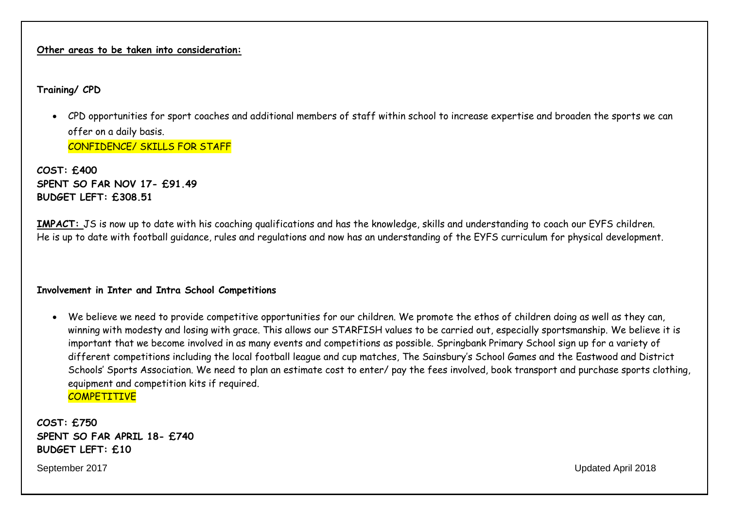#### **Other areas to be taken into consideration:**

### **Training/ CPD**

 CPD opportunities for sport coaches and additional members of staff within school to increase expertise and broaden the sports we can offer on a daily basis. CONFIDENCE/ SKILLS FOR STAFF

**COST: £400 SPENT SO FAR NOV 17- £91.49 BUDGET LEFT: £308.51**

**IMPACT:** JS is now up to date with his coaching qualifications and has the knowledge, skills and understanding to coach our EYFS children. He is up to date with football guidance, rules and regulations and now has an understanding of the EYFS curriculum for physical development.

#### **Involvement in Inter and Intra School Competitions**

 We believe we need to provide competitive opportunities for our children. We promote the ethos of children doing as well as they can, winning with modesty and losing with grace. This allows our STARFISH values to be carried out, especially sportsmanship. We believe it is important that we become involved in as many events and competitions as possible. Springbank Primary School sign up for a variety of different competitions including the local football league and cup matches, The Sainsbury's School Games and the Eastwood and District Schools' Sports Association. We need to plan an estimate cost to enter/ pay the fees involved, book transport and purchase sports clothing, equipment and competition kits if required. **COMPETITIVE** 

**COST: £750 SPENT SO FAR APRIL 18- £740 BUDGET LEFT: £10**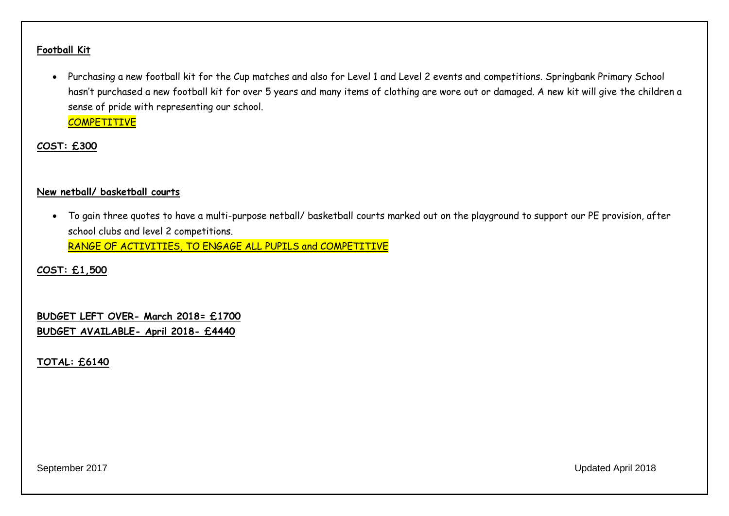#### **Football Kit**

 Purchasing a new football kit for the Cup matches and also for Level 1 and Level 2 events and competitions. Springbank Primary School hasn't purchased a new football kit for over 5 years and many items of clothing are wore out or damaged. A new kit will give the children a sense of pride with representing our school.

**COMPETITIVE** 

**COST: £300**

#### **New netball/ basketball courts**

 To gain three quotes to have a multi-purpose netball/ basketball courts marked out on the playground to support our PE provision, after school clubs and level 2 competitions. RANGE OF ACTIVITIES, TO ENGAGE ALL PUPILS and COMPETITIVE

**COST: £1,500**

**BUDGET LEFT OVER- March 2018= £1700 BUDGET AVAILABLE- April 2018- £4440**

**TOTAL: £6140**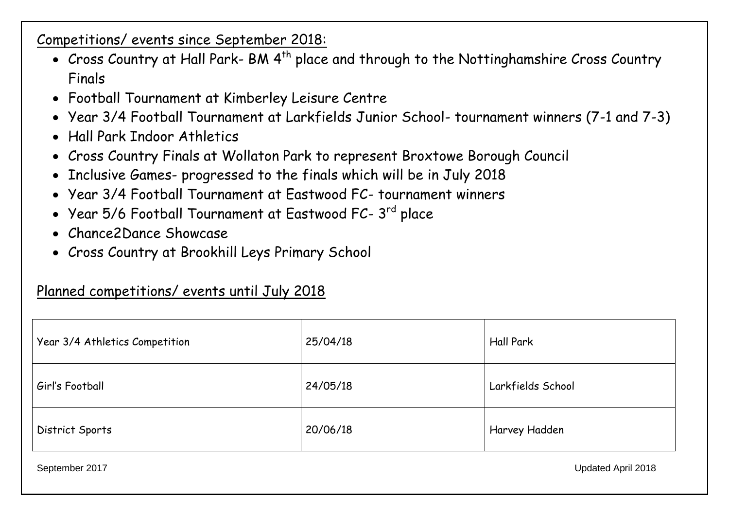Competitions/ events since September 2018:

- Cross Country at Hall Park- BM 4<sup>th</sup> place and through to the Nottinghamshire Cross Country Finals
- Football Tournament at Kimberley Leisure Centre
- Year 3/4 Football Tournament at Larkfields Junior School- tournament winners (7-1 and 7-3)
- Hall Park Indoor Athletics
- Cross Country Finals at Wollaton Park to represent Broxtowe Borough Council
- Inclusive Games- progressed to the finals which will be in July 2018
- Year 3/4 Football Tournament at Eastwood FC- tournament winners
- $\bullet\;$  Year 5/6 Football Tournament at Eastwood FC- 3 $^{\rm rd}$  place
- Chance2Dance Showcase
- Cross Country at Brookhill Leys Primary School

## Planned competitions/ events until July 2018

| Year 3/4 Athletics Competition | 25/04/18 | <b>Hall Park</b>  |
|--------------------------------|----------|-------------------|
| Girl's Football                | 24/05/18 | Larkfields School |
| District Sports                | 20/06/18 | Harvey Hadden     |